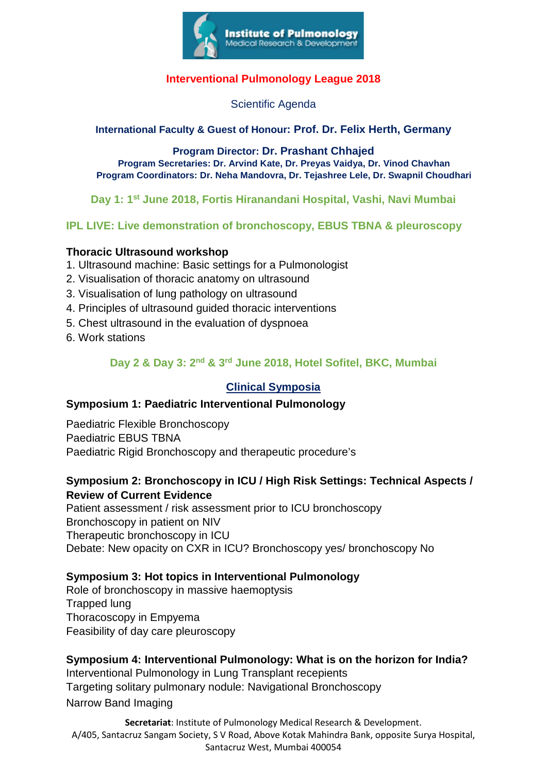

### **Interventional Pulmonology League 2018**

Scientific Agenda

#### **International Faculty & Guest of Honour: Prof. Dr. Felix Herth, Germany**

**Program Director: Dr. Prashant Chhajed Program Secretaries: Dr. Arvind Kate, Dr. Preyas Vaidya, Dr. Vinod Chavhan Program Coordinators: Dr. Neha Mandovra, Dr. Tejashree Lele, Dr. Swapnil Choudhari**

**Day 1: 1st June 2018, Fortis Hiranandani Hospital, Vashi, Navi Mumbai**

#### **IPL LIVE: Live demonstration of bronchoscopy, EBUS TBNA & pleuroscopy**

#### **Thoracic Ultrasound workshop**

- 1. Ultrasound machine: Basic settings for a Pulmonologist
- 2. Visualisation of thoracic anatomy on ultrasound
- 3. Visualisation of lung pathology on ultrasound
- 4. Principles of ultrasound guided thoracic interventions
- 5. Chest ultrasound in the evaluation of dyspnoea
- 6. Work stations

**Day 2 & Day 3: 2nd & 3rd June 2018, Hotel Sofitel, BKC, Mumbai**

#### **Clinical Symposia**

#### **Symposium 1: Paediatric Interventional Pulmonology**

Paediatric Flexible Bronchoscopy Paediatric EBUS TBNA Paediatric Rigid Bronchoscopy and therapeutic procedure's

#### **Symposium 2: Bronchoscopy in ICU / High Risk Settings: Technical Aspects / Review of Current Evidence**

Patient assessment / risk assessment prior to ICU bronchoscopy Bronchoscopy in patient on NIV Therapeutic bronchoscopy in ICU Debate: New opacity on CXR in ICU? Bronchoscopy yes/ bronchoscopy No

#### **Symposium 3: Hot topics in Interventional Pulmonology**

Role of bronchoscopy in massive haemoptysis Trapped lung Thoracoscopy in Empyema Feasibility of day care pleuroscopy

#### **Symposium 4: Interventional Pulmonology: What is on the horizon for India?**

Interventional Pulmonology in Lung Transplant recepients Targeting solitary pulmonary nodule: Navigational Bronchoscopy Narrow Band Imaging

**Secretariat**: Institute of Pulmonology Medical Research & Development. A/405, Santacruz Sangam Society, S V Road, Above Kotak Mahindra Bank, opposite Surya Hospital, Santacruz West, Mumbai 400054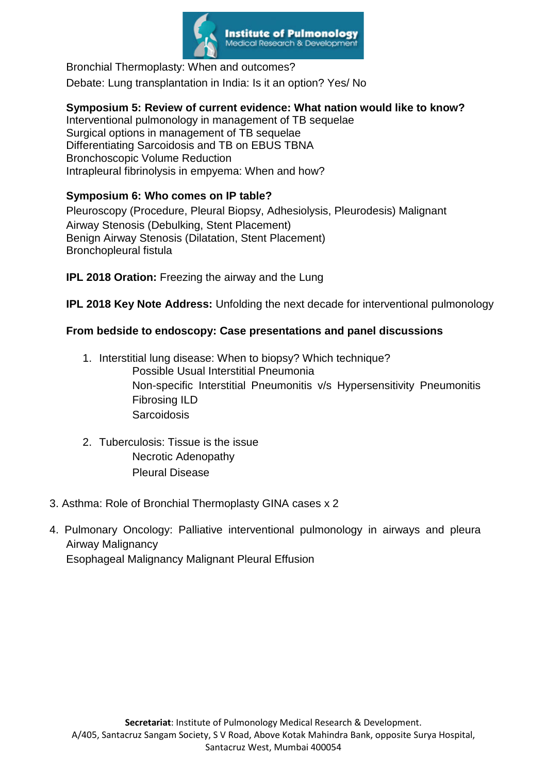

Bronchial Thermoplasty: When and outcomes? Debate: Lung transplantation in India: Is it an option? Yes/ No

## **Symposium 5: Review of current evidence: What nation would like to know?**

Interventional pulmonology in management of TB sequelae Surgical options in management of TB sequelae Differentiating Sarcoidosis and TB on EBUS TBNA Bronchoscopic Volume Reduction Intrapleural fibrinolysis in empyema: When and how?

#### **Symposium 6: Who comes on IP table?**

Pleuroscopy (Procedure, Pleural Biopsy, Adhesiolysis, Pleurodesis) Malignant Airway Stenosis (Debulking, Stent Placement) Benign Airway Stenosis (Dilatation, Stent Placement) Bronchopleural fistula

**IPL 2018 Oration:** Freezing the airway and the Lung

**IPL 2018 Key Note Address:** Unfolding the next decade for interventional pulmonology

#### **From bedside to endoscopy: Case presentations and panel discussions**

- 1. Interstitial lung disease: When to biopsy? Which technique? Possible Usual Interstitial Pneumonia Non-specific Interstitial Pneumonitis v/s Hypersensitivity Pneumonitis Fibrosing ILD **Sarcoidosis**
- 2. Tuberculosis: Tissue is the issue Necrotic Adenopathy Pleural Disease
- 3. Asthma: Role of Bronchial Thermoplasty GINA cases x 2
- 4. Pulmonary Oncology: Palliative interventional pulmonology in airways and pleura Airway Malignancy Esophageal Malignancy Malignant Pleural Effusion